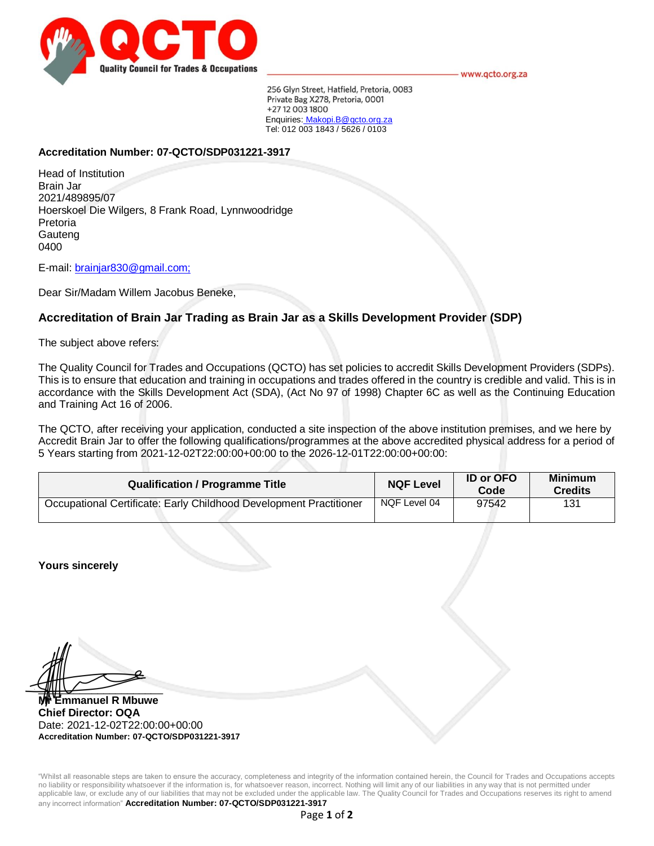

www.qcto.org.za

256 Glyn Street, Hatfield, Pretoria, 0083 Private Bag X278, Pretoria, 0001 +27 12 003 1800 Enquiries: Makopi.B@qcto.org.za Tel: 012 003 1843 / 5626 / 0103

## **Accreditation Number: 07-QCTO/SDP031221-3917**

Head of Institution Brain Jar 2021/489895/07 Hoerskoel Die Wilgers, 8 Frank Road, Lynnwoodridge Pretoria **Gauteng** 0400

E-mail: brainjar830@gmail.com;

Dear Sir/Madam Willem Jacobus Beneke,

# **Accreditation of Brain Jar Trading as Brain Jar as a Skills Development Provider (SDP)**

The subject above refers:

The Quality Council for Trades and Occupations (QCTO) has set policies to accredit Skills Development Providers (SDPs). This is to ensure that education and training in occupations and trades offered in the country is credible and valid. This is in accordance with the Skills Development Act (SDA), (Act No 97 of 1998) Chapter 6C as well as the Continuing Education and Training Act 16 of 2006.

The QCTO, after receiving your application, conducted a site inspection of the above institution premises, and we here by Accredit Brain Jar to offer the following qualifications/programmes at the above accredited physical address for a period of 5 Years starting from 2021-12-02T22:00:00+00:00 to the 2026-12-01T22:00:00+00:00:

| <b>Qualification / Programme Title</b>                             | <b>NQF Level</b> | <b>ID or OFO</b><br>Code | <b>Minimum</b><br><b>Credits</b> |
|--------------------------------------------------------------------|------------------|--------------------------|----------------------------------|
| Occupational Certificate: Early Childhood Development Practitioner | NQF Level 04     | 97542                    | 131                              |

**Yours sincerely**

 $\blacksquare$ 

**Mr Emmanuel R Mbuwe Chief Director: OQA** Date: 2021-12-02T22:00:00+00:00 **Accreditation Number: 07-QCTO/SDP031221-3917**

"Whilst all reasonable steps are taken to ensure the accuracy, completeness and integrity of the information contained herein, the Council for Trades and Occupations accepts no liability or responsibility whatsoever if the information is, for whatsoever reason, incorrect. Nothing will limit any of our liabilities in any way that is not permitted under applicable law, or exclude any of our liabilities that may not be excluded under the applicable law. The Quality Council for Trades and Occupations reserves its right to amend any incorrect information" **Accreditation Number: 07-QCTO/SDP031221-3917**